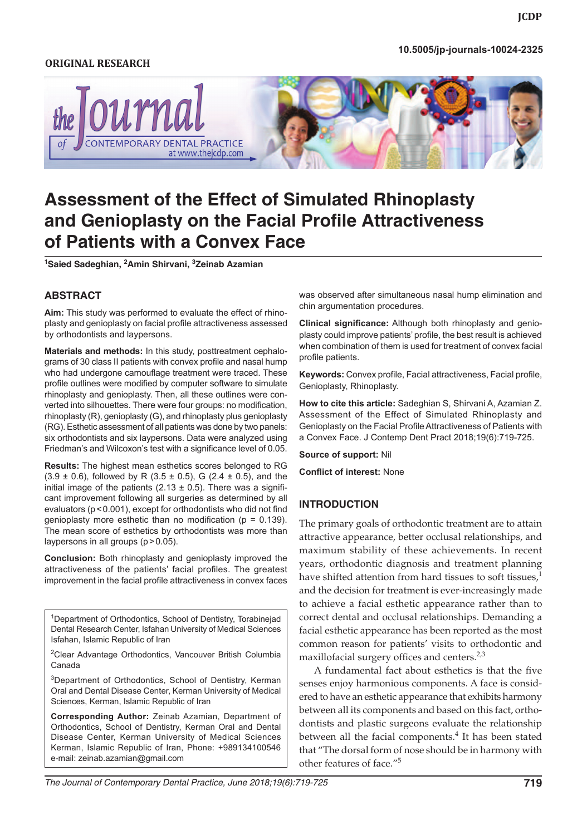#### *Assessment of the Effect of Simulated Rhinoplasty and Genioplasty* **10.5005/jp-journals-10024-2325**

#### **Original research**



# **Assessment of the Effect of Simulated Rhinoplasty and Genioplasty on the Facial Profile Attractiveness of Patients with a Convex Face**

**1 Saied Sadeghian, 2 Amin Shirvani, <sup>3</sup> Zeinab Azamian**

#### **ABSTRACT**

**Aim:** This study was performed to evaluate the effect of rhinoplasty and genioplasty on facial profile attractiveness assessed by orthodontists and laypersons.

**Materials and methods:** In this study, posttreatment cephalograms of 30 class II patients with convex profile and nasal hump who had undergone camouflage treatment were traced. These profile outlines were modified by computer software to simulate rhinoplasty and genioplasty. Then, all these outlines were converted into silhouettes. There were four groups: no modification, rhinoplasty (R), genioplasty (G), and rhinoplasty plus genioplasty (RG). Esthetic assessment of all patients was done by two panels: six orthodontists and six laypersons. Data were analyzed using Friedman's and Wilcoxon's test with a significance level of 0.05.

**Results:** The highest mean esthetics scores belonged to RG  $(3.9 \pm 0.6)$ , followed by R  $(3.5 \pm 0.5)$ , G  $(2.4 \pm 0.5)$ , and the initial image of the patients (2.13  $\pm$  0.5). There was a significant improvement following all surgeries as determined by all evaluators (p<0.001), except for orthodontists who did not find genioplasty more esthetic than no modification ( $p = 0.139$ ). The mean score of esthetics by orthodontists was more than laypersons in all groups (p>0.05).

**Conclusion:** Both rhinoplasty and genioplasty improved the attractiveness of the patients' facial profiles. The greatest improvement in the facial profile attractiveness in convex faces

<sup>1</sup>Department of Orthodontics, School of Dentistry, Torabinejad Dental Research Center, Isfahan University of Medical Sciences Isfahan, Islamic Republic of Iran

<sup>2</sup>Clear Advantage Orthodontics, Vancouver British Columbia Canada

3Department of Orthodontics, School of Dentistry, Kerman Oral and Dental Disease Center, Kerman University of Medical Sciences, Kerman, Islamic Republic of Iran

**Corresponding Author:** Zeinab Azamian, Department of Orthodontics, School of Dentistry, Kerman Oral and Dental Disease Center, Kerman University of Medical Sciences Kerman, Islamic Republic of Iran, Phone: +989134100546 e-mail: zeinab.azamian@gmail.com

was observed after simultaneous nasal hump elimination and chin argumentation procedures.

**Clinical significance:** Although both rhinoplasty and genioplasty could improve patients' profile, the best result is achieved when combination of them is used for treatment of convex facial profile patients.

**Keywords:** Convex profile, Facial attractiveness, Facial profile, Genioplasty, Rhinoplasty.

**How to cite this article:** Sadeghian S, Shirvani A, Azamian Z. Assessment of the Effect of Simulated Rhinoplasty and Genioplasty on the Facial Profile Attractiveness of Patients with a Convex Face. J Contemp Dent Pract 2018;19(6):719-725.

**Source of support:** Nil

**Conflict of interest:** None

#### **INTRODUCTION**

The primary goals of orthodontic treatment are to attain attractive appearance, better occlusal relationships, and maximum stability of these achievements. In recent years, orthodontic diagnosis and treatment planning have shifted attention from hard tissues to soft tissues, $<sup>1</sup>$ </sup> and the decision for treatment is ever-increasingly made to achieve a facial esthetic appearance rather than to correct dental and occlusal relationships. Demanding a facial esthetic appearance has been reported as the most common reason for patients' visits to orthodontic and maxillofacial surgery offices and centers. $2,3$ 

A fundamental fact about esthetics is that the five senses enjoy harmonious components. A face is considered to have an esthetic appearance that exhibits harmony between all its components and based on this fact, orthodontists and plastic surgeons evaluate the relationship between all the facial components.<sup>4</sup> It has been stated that "The dorsal form of nose should be in harmony with other features of face."5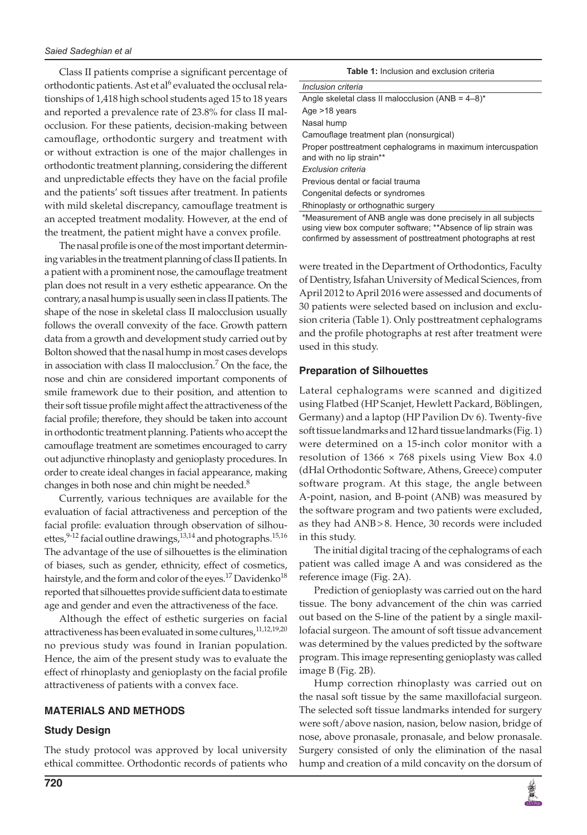Class II patients comprise a significant percentage of orthodontic patients. Ast et al<sup>6</sup> evaluated the occlusal relationships of 1,418 high school students aged 15 to 18 years and reported a prevalence rate of 23.8% for class II malocclusion. For these patients, decision-making between camouflage, orthodontic surgery and treatment with or without extraction is one of the major challenges in orthodontic treatment planning, considering the different and unpredictable effects they have on the facial profile and the patients' soft tissues after treatment. In patients with mild skeletal discrepancy, camouflage treatment is an accepted treatment modality. However, at the end of the treatment, the patient might have a convex profile.

The nasal profile is one of the most important determining variables in the treatment planning of class II patients. In a patient with a prominent nose, the camouflage treatment plan does not result in a very esthetic appearance. On the contrary, a nasal hump is usually seen in class II patients. The shape of the nose in skeletal class II malocclusion usually follows the overall convexity of the face. Growth pattern data from a growth and development study carried out by Bolton showed that the nasal hump in most cases develops in association with class II malocclusion.7 On the face, the nose and chin are considered important components of smile framework due to their position, and attention to their soft tissue profile might affect the attractiveness of the facial profile; therefore, they should be taken into account in orthodontic treatment planning. Patients who accept the camouflage treatment are sometimes encouraged to carry out adjunctive rhinoplasty and genioplasty procedures. In order to create ideal changes in facial appearance, making changes in both nose and chin might be needed. $8$ 

Currently, various techniques are available for the evaluation of facial attractiveness and perception of the facial profile: evaluation through observation of silhouettes, $9-12$  facial outline drawings, $13,14$  and photographs.<sup>15,16</sup> The advantage of the use of silhouettes is the elimination of biases, such as gender, ethnicity, effect of cosmetics, hairstyle, and the form and color of the eyes.<sup>17</sup> Davidenko<sup>18</sup> reported that silhouettes provide sufficient data to estimate age and gender and even the attractiveness of the face.

Although the effect of esthetic surgeries on facial attractiveness has been evaluated in some cultures,<sup>11,12,19,20</sup> no previous study was found in Iranian population. Hence, the aim of the present study was to evaluate the effect of rhinoplasty and genioplasty on the facial profile attractiveness of patients with a convex face.

## **MATERIALS AND METHODS**

#### **Study Design**

The study protocol was approved by local university ethical committee. Orthodontic records of patients who

| <b>Table 1:</b> Inclusion and exclusion criteria |
|--------------------------------------------------|
|                                                  |

| Inclusion criteria                                                                      |
|-----------------------------------------------------------------------------------------|
| Angle skeletal class II malocclusion (ANB = $4-8$ )*                                    |
| Age $>18$ years                                                                         |
| Nasal hump                                                                              |
| Camouflage treatment plan (nonsurgical)                                                 |
| Proper posttreatment cephalograms in maximum intercuspation<br>and with no lip strain** |
| Exclusion criteria                                                                      |
| Previous dental or facial trauma                                                        |
| Congenital defects or syndromes                                                         |
| Rhinoplasty or orthognathic surgery                                                     |
| *Measurement of ANR angle was done precisely in all subjects                            |

\*Measurement of ANB angle was done precisely in all subjects using view box computer software; \*\*Absence of lip strain was confirmed by assessment of posttreatment photographs at rest

were treated in the Department of Orthodontics, Faculty of Dentistry, Isfahan University of Medical Sciences, from April 2012 to April 2016 were assessed and documents of 30 patients were selected based on inclusion and exclusion criteria (Table 1). Only posttreatment cephalograms and the profile photographs at rest after treatment were used in this study.

### **Preparation of Silhouettes**

Lateral cephalograms were scanned and digitized using Flatbed (HP Scanjet, Hewlett Packard, Böblingen, Germany) and a laptop (HP Pavilion Dv 6). Twenty-five soft tissue landmarks and 12 hard tissue landmarks (Fig. 1) were determined on a 15-inch color monitor with a resolution of  $1366 \times 768$  pixels using View Box 4.0 (dHal Orthodontic Software, Athens, Greece) computer software program. At this stage, the angle between A-point, nasion, and B-point (ANB) was measured by the software program and two patients were excluded, as they had ANB>8. Hence, 30 records were included in this study.

The initial digital tracing of the cephalograms of each patient was called image A and was considered as the reference image (Fig. 2A).

Prediction of genioplasty was carried out on the hard tissue. The bony advancement of the chin was carried out based on the S-line of the patient by a single maxillofacial surgeon. The amount of soft tissue advancement was determined by the values predicted by the software program. This image representing genioplasty was called image B (Fig. 2B).

Hump correction rhinoplasty was carried out on the nasal soft tissue by the same maxillofacial surgeon. The selected soft tissue landmarks intended for surgery were soft/above nasion, nasion, below nasion, bridge of nose, above pronasale, pronasale, and below pronasale. Surgery consisted of only the elimination of the nasal hump and creation of a mild concavity on the dorsum of

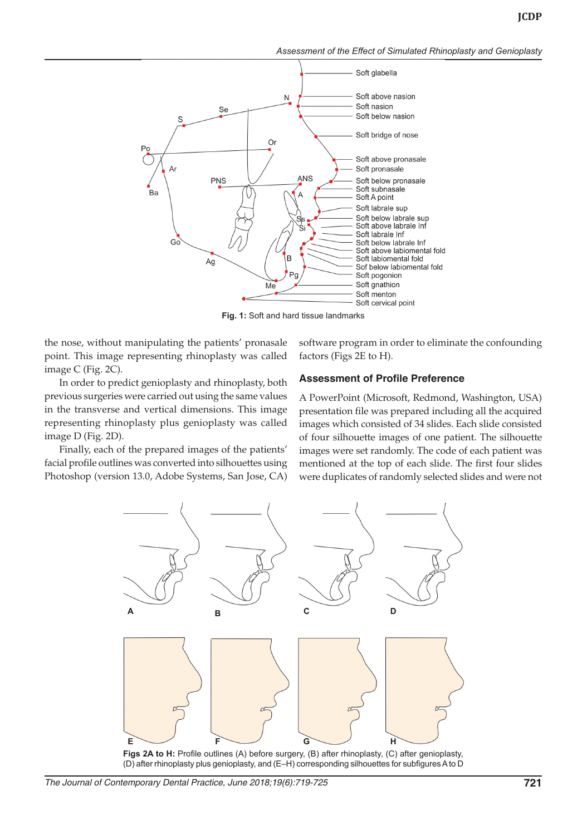*Assessment of the Effect of Simulated Rhinoplasty and Genioplasty*



**Fig. 1:** Soft and hard tissue landmarks

the nose, without manipulating the patients' pronasale point. This image representing rhinoplasty was called image C (Fig. 2C).

In order to predict genioplasty and rhinoplasty, both previous surgeries were carried out using the same values in the transverse and vertical dimensions. This image representing rhinoplasty plus genioplasty was called image D (Fig. 2D).

Finally, each of the prepared images of the patients' facial profile outlines was converted into silhouettes using Photoshop (version 13.0, Adobe Systems, San Jose, CA) software program in order to eliminate the confounding factors (Figs 2E to H).

#### **Assessment of Profile Preference**

A PowerPoint (Microsoft, Redmond, Washington, USA) presentation file was prepared including all the acquired images which consisted of 34 slides. Each slide consisted of four silhouette images of one patient. The silhouette images were set randomly. The code of each patient was mentioned at the top of each slide. The first four slides were duplicates of randomly selected slides and were not



**Figs 2A to H:** Profile outlines (A) before surgery, (B) after rhinoplasty, (C) after genioplasty, (D) after rhinoplasty plus genioplasty, and (E–H) corresponding silhouettes for subfigures A to D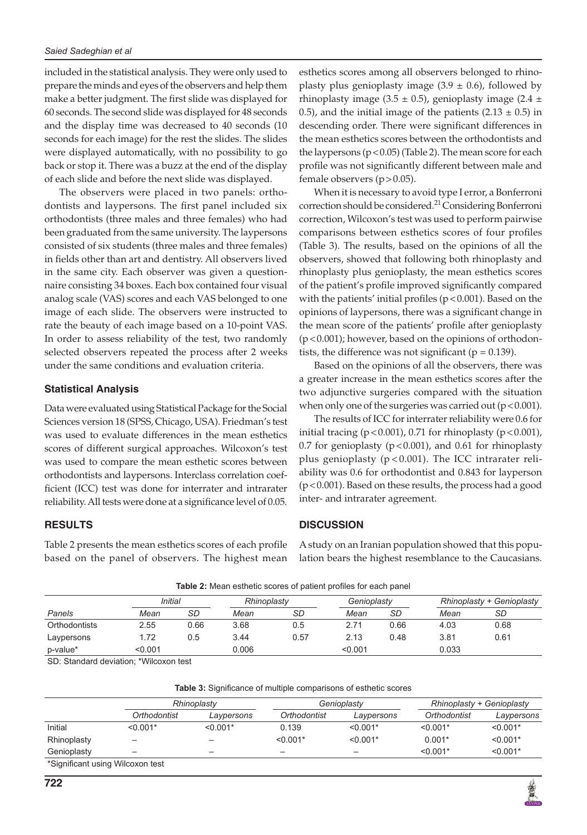included in the statistical analysis. They were only used to prepare the minds and eyes of the observers and help them make a better judgment. The first slide was displayed for 60 seconds. The second slide was displayed for 48 seconds and the display time was decreased to 40 seconds (10 seconds for each image) for the rest the slides. The slides were displayed automatically, with no possibility to go back or stop it. There was a buzz at the end of the display of each slide and before the next slide was displayed.

The observers were placed in two panels: orthodontists and laypersons. The first panel included six orthodontists (three males and three females) who had been graduated from the same university. The laypersons consisted of six students (three males and three females) in fields other than art and dentistry. All observers lived in the same city. Each observer was given a questionnaire consisting 34 boxes. Each box contained four visual analog scale (VAS) scores and each VAS belonged to one image of each slide. The observers were instructed to rate the beauty of each image based on a 10-point VAS. In order to assess reliability of the test, two randomly selected observers repeated the process after 2 weeks under the same conditions and evaluation criteria.

#### **Statistical Analysis**

Data were evaluated using Statistical Package for the Social Sciences version 18 (SPSS, Chicago, USA). Friedman's test was used to evaluate differences in the mean esthetics scores of different surgical approaches. Wilcoxon's test was used to compare the mean esthetic scores between orthodontists and laypersons. Interclass correlation coefficient (ICC) test was done for interrater and intrarater reliability. All tests were done at a significance level of 0.05.

#### **RESULTS**

Table 2 presents the mean esthetics scores of each profile based on the panel of observers. The highest mean esthetics scores among all observers belonged to rhinoplasty plus genioplasty image  $(3.9 \pm 0.6)$ , followed by rhinoplasty image (3.5  $\pm$  0.5), genioplasty image (2.4  $\pm$ 0.5), and the initial image of the patients  $(2.13 \pm 0.5)$  in descending order. There were significant differences in the mean esthetics scores between the orthodontists and the laypersons  $(p < 0.05)$  (Table 2). The mean score for each profile was not significantly different between male and female observers  $(p>0.05)$ .

When it is necessary to avoid type I error, a Bonferroni correction should be considered.<sup>21</sup> Considering Bonferroni correction, Wilcoxon's test was used to perform pairwise comparisons between esthetics scores of four profiles (Table 3). The results, based on the opinions of all the observers, showed that following both rhinoplasty and rhinoplasty plus genioplasty, the mean esthetics scores of the patient's profile improved significantly compared with the patients' initial profiles ( $p < 0.001$ ). Based on the opinions of laypersons, there was a significant change in the mean score of the patients' profile after genioplasty  $(p<0.001)$ ; however, based on the opinions of orthodontists, the difference was not significant ( $p = 0.139$ ).

Based on the opinions of all the observers, there was a greater increase in the mean esthetics scores after the two adjunctive surgeries compared with the situation when only one of the surgeries was carried out  $(p < 0.001)$ .

The results of ICC for interrater reliability were 0.6 for initial tracing ( $p < 0.001$ ), 0.71 for rhinoplasty ( $p < 0.001$ ), 0.7 for genioplasty ( $p < 0.001$ ), and 0.61 for rhinoplasty plus genioplasty ( $p < 0.001$ ). The ICC intrarater reliability was 0.6 for orthodontist and 0.843 for layperson (p<0.001). Based on these results, the process had a good inter- and intrarater agreement.

#### **DISCUSSION**

A study on an Iranian population showed that this population bears the highest resemblance to the Caucasians.

| <b>Table 2.</b> INICAL CONCILEGY SCOTCO OF PARCHI PROTICS TOP CACH PARCH |         |      |             |      |             |      |                                  |           |  |
|--------------------------------------------------------------------------|---------|------|-------------|------|-------------|------|----------------------------------|-----------|--|
|                                                                          | Initial |      | Rhinoplasty |      | Genioplasty |      | <b>Rhinoplasty + Genioplasty</b> |           |  |
| Panels                                                                   | Mean    | SD   | Mean        | SD   | Mean        | SD   | Mean                             | <b>SD</b> |  |
| Orthodontists                                                            | 2.55    | 0.66 | 3.68        | 0.5  | 2.71        | 0.66 | 4.03                             | 0.68      |  |
| Laypersons                                                               | 1.72    | 0.5  | 3.44        | 0.57 | 2.13        | 0.48 | 3.81                             | 0.61      |  |
| p-value*                                                                 | < 0.001 |      | 0.006       |      | < 0.001     |      | 0.033                            |           |  |

**Table 2:** Mean esthetic scores of patient profiles for each panel

SD: Standard deviation; \*Wilcoxon test

| <b>Table J.</b> Digitilicative Of Hiditiple comparisons of estrictic scores |              |                          |              |             |                           |            |  |  |  |  |
|-----------------------------------------------------------------------------|--------------|--------------------------|--------------|-------------|---------------------------|------------|--|--|--|--|
|                                                                             | Rhinoplasty  |                          |              | Genioplasty | Rhinoplasty + Genioplasty |            |  |  |  |  |
|                                                                             | Orthodontist | Laypersons               | Orthodontist | Laypersons  | Orthodontist              | Laypersons |  |  |  |  |
| Initial                                                                     | $< 0.001*$   | $< 0.001*$               | 0.139        | $< 0.001*$  | $< 0.001*$                | $< 0.001*$ |  |  |  |  |
| Rhinoplasty                                                                 |              |                          | $< 0.001*$   | $< 0.001*$  | $0.001*$                  | $< 0.001*$ |  |  |  |  |
| Genioplasty                                                                 | -            | $\overline{\phantom{a}}$ | -            |             | $< 0.001*$                | $< 0.001*$ |  |  |  |  |
| *Significant using Wilcoxon test                                            |              |                          |              |             |                           |            |  |  |  |  |

**Table 3:** Significance of multiple comparisons of esthetic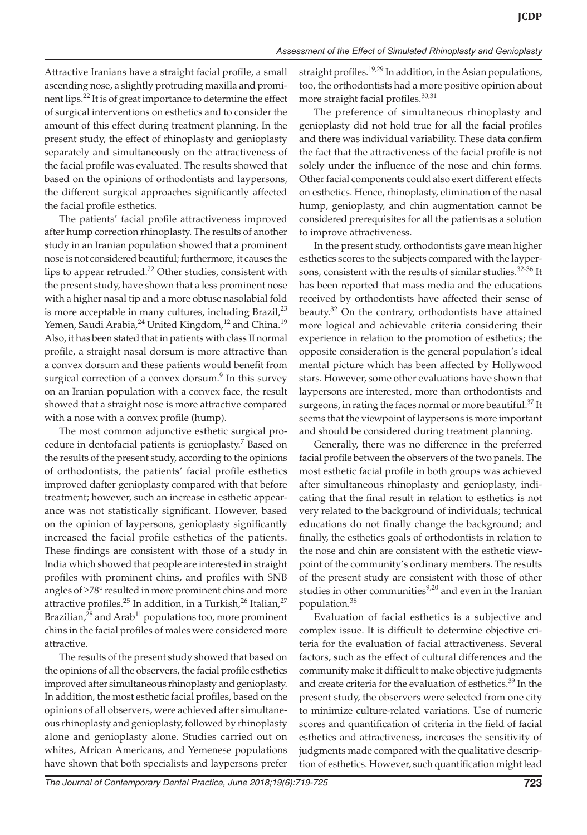Attractive Iranians have a straight facial profile, a small ascending nose, a slightly protruding maxilla and prominent lips.22 It is of great importance to determine the effect of surgical interventions on esthetics and to consider the amount of this effect during treatment planning. In the present study, the effect of rhinoplasty and genioplasty separately and simultaneously on the attractiveness of the facial profile was evaluated. The results showed that based on the opinions of orthodontists and laypersons, the different surgical approaches significantly affected the facial profile esthetics.

The patients' facial profile attractiveness improved after hump correction rhinoplasty. The results of another study in an Iranian population showed that a prominent nose is not considered beautiful; furthermore, it causes the lips to appear retruded.<sup>22</sup> Other studies, consistent with the present study, have shown that a less prominent nose with a higher nasal tip and a more obtuse nasolabial fold is more acceptable in many cultures, including Brazil, $2<sup>3</sup>$ Yemen, Saudi Arabia,<sup>24</sup> United Kingdom,<sup>12</sup> and China.<sup>19</sup> Also, it has been stated that in patients with class II normal profile, a straight nasal dorsum is more attractive than a convex dorsum and these patients would benefit from surgical correction of a convex dorsum. $9$  In this survey on an Iranian population with a convex face, the result showed that a straight nose is more attractive compared with a nose with a convex profile (hump).

The most common adjunctive esthetic surgical procedure in dentofacial patients is genioplasty.<sup>7</sup> Based on the results of the present study, according to the opinions of orthodontists, the patients' facial profile esthetics improved dafter genioplasty compared with that before treatment; however, such an increase in esthetic appearance was not statistically significant. However, based on the opinion of laypersons, genioplasty significantly increased the facial profile esthetics of the patients. These findings are consistent with those of a study in India which showed that people are interested in straight profiles with prominent chins, and profiles with SNB angles of ≥78° resulted in more prominent chins and more attractive profiles.<sup>25</sup> In addition, in a Turkish,<sup>26</sup> Italian,<sup>27</sup> Brazilian, $^{28}$  and Arab<sup>11</sup> populations too, more prominent chins in the facial profiles of males were considered more attractive.

The results of the present study showed that based on the opinions of all the observers, the facial profile esthetics improved after simultaneous rhinoplasty and genioplasty. In addition, the most esthetic facial profiles, based on the opinions of all observers, were achieved after simultaneous rhinoplasty and genioplasty, followed by rhinoplasty alone and genioplasty alone. Studies carried out on whites, African Americans, and Yemenese populations have shown that both specialists and laypersons prefer

straight profiles.<sup>19,29</sup> In addition, in the Asian populations, too, the orthodontists had a more positive opinion about more straight facial profiles.<sup>30,31</sup>

The preference of simultaneous rhinoplasty and genioplasty did not hold true for all the facial profiles and there was individual variability. These data confirm the fact that the attractiveness of the facial profile is not solely under the influence of the nose and chin forms. Other facial components could also exert different effects on esthetics. Hence, rhinoplasty, elimination of the nasal hump, genioplasty, and chin augmentation cannot be considered prerequisites for all the patients as a solution to improve attractiveness.

In the present study, orthodontists gave mean higher esthetics scores to the subjects compared with the laypersons, consistent with the results of similar studies.<sup>32-36</sup> It has been reported that mass media and the educations received by orthodontists have affected their sense of beauty.<sup>32</sup> On the contrary, orthodontists have attained more logical and achievable criteria considering their experience in relation to the promotion of esthetics; the opposite consideration is the general population's ideal mental picture which has been affected by Hollywood stars. However, some other evaluations have shown that laypersons are interested, more than orthodontists and surgeons, in rating the faces normal or more beautiful.<sup>37</sup> It seems that the viewpoint of laypersons is more important and should be considered during treatment planning.

Generally, there was no difference in the preferred facial profile between the observers of the two panels. The most esthetic facial profile in both groups was achieved after simultaneous rhinoplasty and genioplasty, indicating that the final result in relation to esthetics is not very related to the background of individuals; technical educations do not finally change the background; and finally, the esthetics goals of orthodontists in relation to the nose and chin are consistent with the esthetic viewpoint of the community's ordinary members. The results of the present study are consistent with those of other studies in other communities<sup>9,20</sup> and even in the Iranian population.38

Evaluation of facial esthetics is a subjective and complex issue. It is difficult to determine objective criteria for the evaluation of facial attractiveness. Several factors, such as the effect of cultural differences and the community make it difficult to make objective judgments and create criteria for the evaluation of esthetics.<sup>39</sup> In the present study, the observers were selected from one city to minimize culture-related variations. Use of numeric scores and quantification of criteria in the field of facial esthetics and attractiveness, increases the sensitivity of judgments made compared with the qualitative description of esthetics. However, such quantification might lead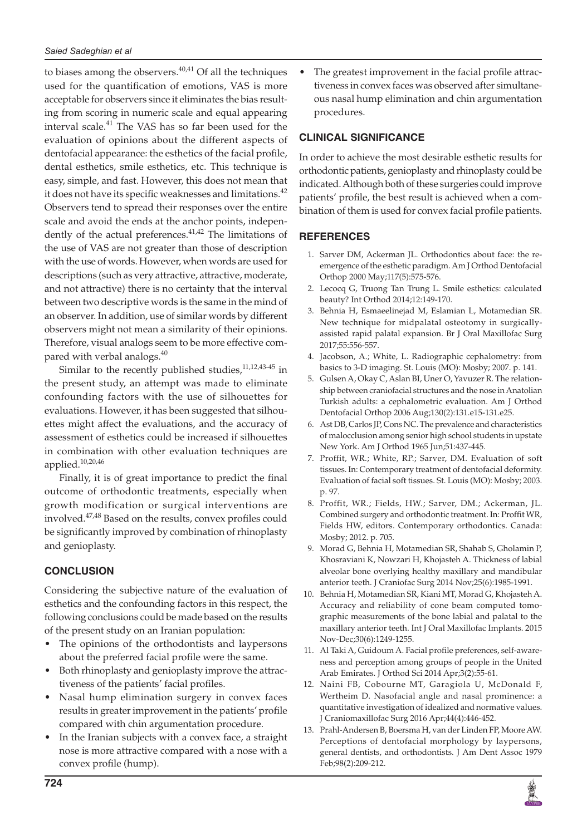to biases among the observers. $40,41$  Of all the techniques used for the quantification of emotions, VAS is more acceptable for observers since it eliminates the bias resulting from scoring in numeric scale and equal appearing interval scale.<sup>41</sup> The VAS has so far been used for the evaluation of opinions about the different aspects of dentofacial appearance: the esthetics of the facial profile, dental esthetics, smile esthetics, etc. This technique is easy, simple, and fast. However, this does not mean that it does not have its specific weaknesses and limitations.<sup>42</sup> Observers tend to spread their responses over the entire scale and avoid the ends at the anchor points, independently of the actual preferences. $41,42$  The limitations of the use of VAS are not greater than those of description with the use of words. However, when words are used for descriptions (such as very attractive, attractive, moderate, and not attractive) there is no certainty that the interval between two descriptive words is the same in the mind of an observer. In addition, use of similar words by different observers might not mean a similarity of their opinions. Therefore, visual analogs seem to be more effective compared with verbal analogs.<sup>40</sup>

Similar to the recently published studies, $11,12,43-45$  in the present study, an attempt was made to eliminate confounding factors with the use of silhouettes for evaluations. However, it has been suggested that silhouettes might affect the evaluations, and the accuracy of assessment of esthetics could be increased if silhouettes in combination with other evaluation techniques are applied.10,20,46

Finally, it is of great importance to predict the final outcome of orthodontic treatments, especially when growth modification or surgical interventions are involved.47,48 Based on the results, convex profiles could be significantly improved by combination of rhinoplasty and genioplasty.

## **CONCLUSION**

Considering the subjective nature of the evaluation of esthetics and the confounding factors in this respect, the following conclusions could be made based on the results of the present study on an Iranian population:

- The opinions of the orthodontists and laypersons about the preferred facial profile were the same.
- Both rhinoplasty and genioplasty improve the attractiveness of the patients' facial profiles.
- Nasal hump elimination surgery in convex faces results in greater improvement in the patients' profile compared with chin argumentation procedure.
- In the Iranian subjects with a convex face, a straight nose is more attractive compared with a nose with a convex profile (hump).

The greatest improvement in the facial profile attractiveness in convex faces was observed after simultaneous nasal hump elimination and chin argumentation procedures.

## **Clinical Significance**

In order to achieve the most desirable esthetic results for orthodontic patients, genioplasty and rhinoplasty could be indicated. Although both of these surgeries could improve patients' profile, the best result is achieved when a combination of them is used for convex facial profile patients.

## **REFERENCES**

- 1. Sarver DM, Ackerman JL. Orthodontics about face: the reemergence of the esthetic paradigm. Am J Orthod Dentofacial Orthop 2000 May;117(5):575-576.
- 2. Lecocq G, Truong Tan Trung L. Smile esthetics: calculated beauty? Int Orthod 2014;12:149-170.
- 3. Behnia H, Esmaeelinejad M, Eslamian L, Motamedian SR. New technique for midpalatal osteotomy in surgicallyassisted rapid palatal expansion. Br J Oral Maxillofac Surg 2017;55:556-557.
- 4. Jacobson, A.; White, L. Radiographic cephalometry: from basics to 3-D imaging. St. Louis (MO): Mosby; 2007. p. 141.
- 5. Gulsen A, Okay C, Aslan BI, Uner O, Yavuzer R. The relationship between craniofacial structures and the nose in Anatolian Turkish adults: a cephalometric evaluation. Am J Orthod Dentofacial Orthop 2006 Aug;130(2):131.e15-131.e25.
- 6. Ast DB, Carlos JP, Cons NC. The prevalence and characteristics of malocclusion among senior high school students in upstate New York. Am J Orthod 1965 Jun;51:437-445.
- 7. Proffit, WR.; White, RP.; Sarver, DM. Evaluation of soft tissues. In: Contemporary treatment of dentofacial deformity. Evaluation of facial soft tissues. St. Louis (MO): Mosby; 2003. p. 97.
- 8. Proffit, WR.; Fields, HW.; Sarver, DM.; Ackerman, JL. Combined surgery and orthodontic treatment. In: Proffit WR, Fields HW, editors. Contemporary orthodontics. Canada: Mosby; 2012. p. 705.
- 9. Morad G, Behnia H, Motamedian SR, Shahab S, Gholamin P, Khosraviani K, Nowzari H, Khojasteh A. Thickness of labial alveolar bone overlying healthy maxillary and mandibular anterior teeth. J Craniofac Surg 2014 Nov;25(6):1985-1991.
- 10. Behnia H, Motamedian SR, Kiani MT, Morad G, Khojasteh A. Accuracy and reliability of cone beam computed tomographic measurements of the bone labial and palatal to the maxillary anterior teeth. Int J Oral Maxillofac Implants. 2015 Nov-Dec;30(6):1249-1255.
- 11. Al Taki A, Guidoum A. Facial profile preferences, self-awareness and perception among groups of people in the United Arab Emirates. J Orthod Sci 2014 Apr;3(2):55-61.
- 12. Naini FB, Cobourne MT, Garagiola U, McDonald F, Wertheim D. Nasofacial angle and nasal prominence: a quantitative investigation of idealized and normative values. J Craniomaxillofac Surg 2016 Apr;44(4):446-452.
- 13. Prahl-Andersen B, Boersma H, van der Linden FP, Moore AW. Perceptions of dentofacial morphology by laypersons, general dentists, and orthodontists. J Am Dent Assoc 1979 Feb;98(2):209-212.